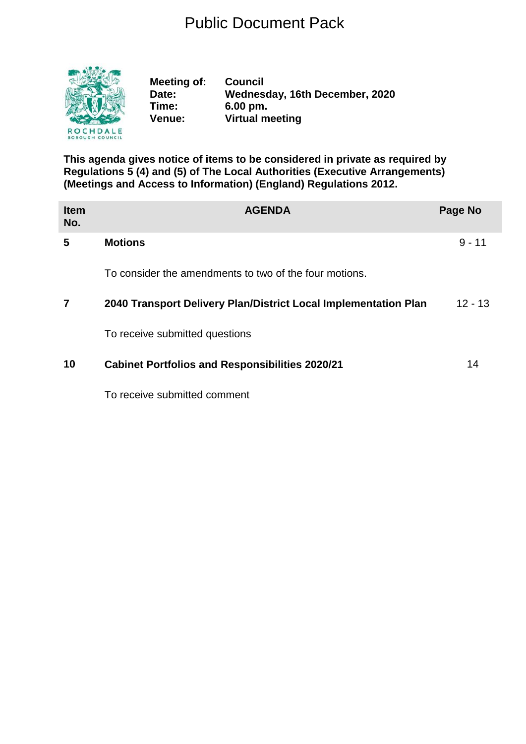## Public Document Pack



**Meeting of: Council Date: Wednesday, 16th December, 2020 Time: 6.00 pm. Venue: Virtual meeting**

**This agenda gives notice of items to be considered in private as required by Regulations 5 (4) and (5) of The Local Authorities (Executive Arrangements) (Meetings and Access to Information) (England) Regulations 2012.**

| <b>Item</b><br>No. | <b>AGENDA</b>                                                   | Page No   |
|--------------------|-----------------------------------------------------------------|-----------|
| 5                  | <b>Motions</b>                                                  | $9 - 11$  |
|                    | To consider the amendments to two of the four motions.          |           |
| 7                  | 2040 Transport Delivery Plan/District Local Implementation Plan | $12 - 13$ |
|                    | To receive submitted questions                                  |           |
| 10                 | <b>Cabinet Portfolios and Responsibilities 2020/21</b>          | 14        |
|                    | To receive submitted comment                                    |           |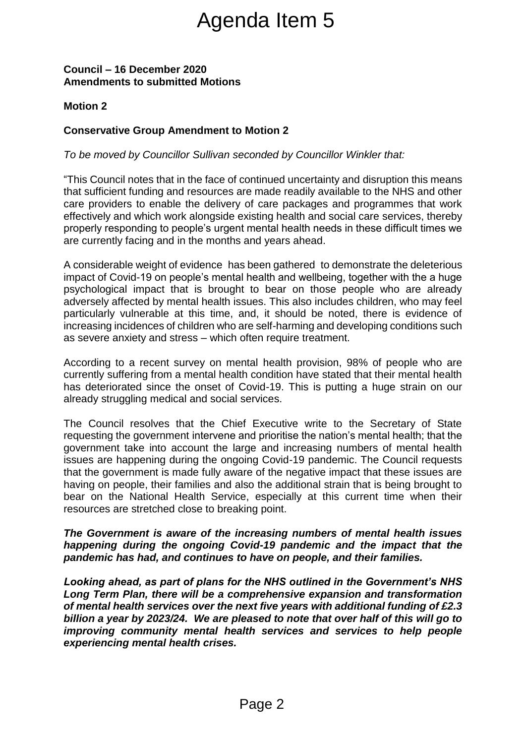# Agenda Item 5

#### **Council – 16 December 2020 Amendments to submitted Motions**

#### **Motion 2**

#### **Conservative Group Amendment to Motion 2**

#### *To be moved by Councillor Sullivan seconded by Councillor Winkler that:*

"This Council notes that in the face of continued uncertainty and disruption this means that sufficient funding and resources are made readily available to the NHS and other care providers to enable the delivery of care packages and programmes that work effectively and which work alongside existing health and social care services, thereby properly responding to people's urgent mental health needs in these difficult times we are currently facing and in the months and years ahead.

A considerable weight of evidence has been gathered to demonstrate the deleterious impact of Covid-19 on people's mental health and wellbeing, together with the a huge psychological impact that is brought to bear on those people who are already adversely affected by mental health issues. This also includes children, who may feel particularly vulnerable at this time, and, it should be noted, there is evidence of increasing incidences of children who are self-harming and developing conditions such as severe anxiety and stress – which often require treatment.

According to a recent survey on mental health provision, 98% of people who are currently suffering from a mental health condition have stated that their mental health has deteriorated since the onset of Covid-19. This is putting a huge strain on our already struggling medical and social services.

The Council resolves that the Chief Executive write to the Secretary of State requesting the government intervene and prioritise the nation's mental health; that the government take into account the large and increasing numbers of mental health issues are happening during the ongoing Covid-19 pandemic. The Council requests that the government is made fully aware of the negative impact that these issues are having on people, their families and also the additional strain that is being brought to bear on the National Health Service, especially at this current time when their resources are stretched close to breaking point. Agenda Item 5<br>
Sullivan seconded by Councill<br>
e face of continued uncertaint<br>
sources are made readily ava<br>
be defined and the distance of the surger of care packages is<br>
de is urgernt mental health needs<br>
is morths and ye

#### *The Government is aware of the increasing numbers of mental health issues happening during the ongoing Covid-19 pandemic and the impact that the pandemic has had, and continues to have on people, and their families.*

*Looking ahead, as part of plans for the NHS outlined in the Government's NHS Long Term Plan, there will be a comprehensive expansion and transformation of mental health services over the next five years with additional funding of £2.3 billion a year by 2023/24. We are pleased to note that over half of this will go to improving community mental health services and services to help people experiencing mental health crises.*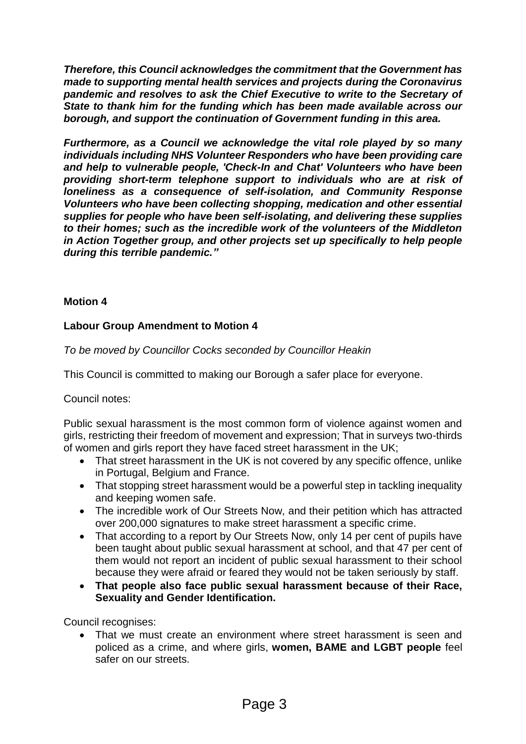*Therefore, this Council acknowledges the commitment that the Government has made to supporting mental health services and projects during the Coronavirus pandemic and resolves to ask the Chief Executive to write to the Secretary of State to thank him for the funding which has been made available across our borough, and support the continuation of Government funding in this area.*

*Furthermore, as a Council we acknowledge the vital role played by so many individuals including NHS Volunteer Responders who have been providing care and help to vulnerable people, 'Check-In and Chat' Volunteers who have been providing short-term telephone support to individuals who are at risk of loneliness as a consequence of self-isolation, and Community Response Volunteers who have been collecting shopping, medication and other essential supplies for people who have been self-isolating, and delivering these supplies to their homes; such as the incredible work of the volunteers of the Middleton in Action Together group, and other projects set up specifically to help people during this terrible pandemic."*

#### **Motion 4**

#### **Labour Group Amendment to Motion 4**

*To be moved by Councillor Cocks seconded by Councillor Heakin*

This Council is committed to making our Borough a safer place for everyone.

#### Council notes:

Public sexual harassment is the most common form of violence against women and girls, restricting their freedom of movement and expression; That in surveys two-thirds of women and girls report they have faced street harassment in the UK;

- That street harassment in the UK is not covered by any specific offence, unlike in Portugal, Belgium and France.
- That stopping street harassment would be a powerful step in tackling inequality and keeping women safe.
- The incredible work of Our Streets Now, and their petition which has attracted over 200,000 signatures to make street harassment a specific crime.
- That according to a report by Our Streets Now, only 14 per cent of pupils have been taught about public sexual harassment at school, and that 47 per cent of them would not report an incident of public sexual harassment to their school because they were afraid or feared they would not be taken seriously by staff.
- **That people also face public sexual harassment because of their Race, Sexuality and Gender Identification.**

Council recognises:

 That we must create an environment where street harassment is seen and policed as a crime, and where girls, **women, BAME and LGBT people** feel safer on our streets.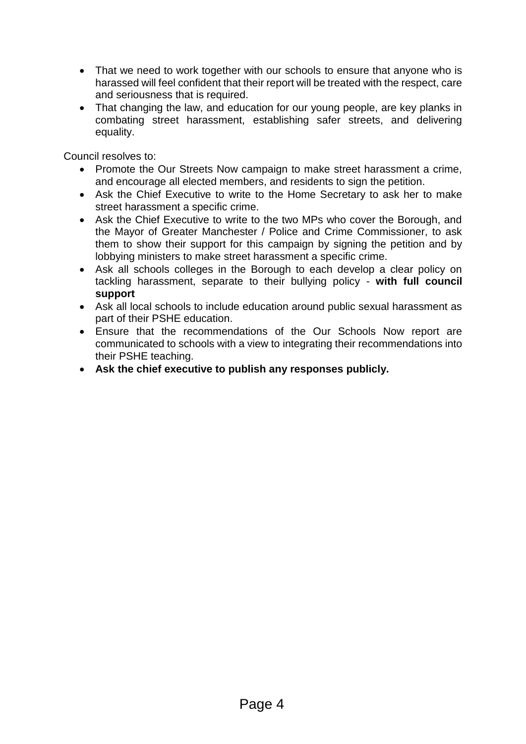- That we need to work together with our schools to ensure that anyone who is harassed will feel confident that their report will be treated with the respect, care and seriousness that is required.
- That changing the law, and education for our young people, are key planks in combating street harassment, establishing safer streets, and delivering equality.

Council resolves to:

- Promote the Our Streets Now campaign to make street harassment a crime, and encourage all elected members, and residents to sign the petition.
- Ask the Chief Executive to write to the Home Secretary to ask her to make street harassment a specific crime.
- Ask the Chief Executive to write to the two MPs who cover the Borough, and the Mayor of Greater Manchester / Police and Crime Commissioner, to ask them to show their support for this campaign by signing the petition and by lobbying ministers to make street harassment a specific crime.
- Ask all schools colleges in the Borough to each develop a clear policy on tackling harassment, separate to their bullying policy - **with full council support**
- Ask all local schools to include education around public sexual harassment as part of their PSHE education.
- Ensure that the recommendations of the Our Schools Now report are communicated to schools with a view to integrating their recommendations into their PSHE teaching.
- **Ask the chief executive to publish any responses publicly.**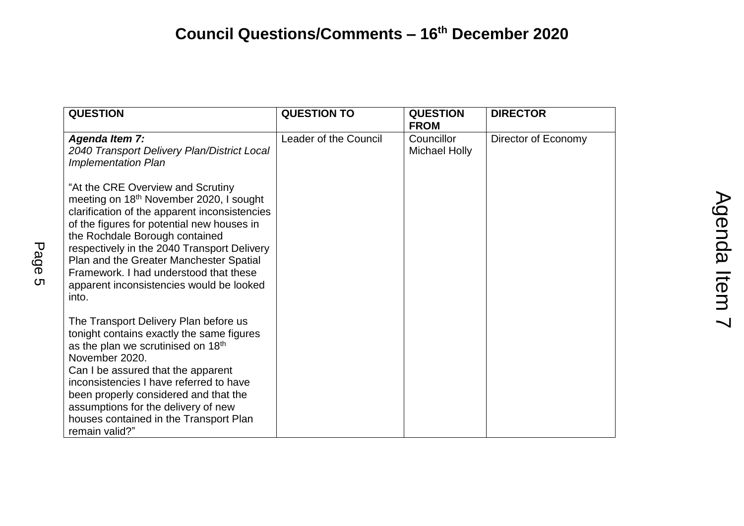### **Council Questions/Comments – 16 th December 2020**

|           | <b>QUESTION</b>                                                                                                                                                                                                                                                                                                                                                                                                    | <b>QUESTION TO</b>    | <b>QUESTION</b><br><b>FROM</b>     | <b>DIRECTOR</b>     |                |
|-----------|--------------------------------------------------------------------------------------------------------------------------------------------------------------------------------------------------------------------------------------------------------------------------------------------------------------------------------------------------------------------------------------------------------------------|-----------------------|------------------------------------|---------------------|----------------|
|           | <b>Agenda Item 7:</b><br>2040 Transport Delivery Plan/District Local<br>Implementation Plan                                                                                                                                                                                                                                                                                                                        | Leader of the Council | Councillor<br><b>Michael Holly</b> | Director of Economy |                |
| Page<br>ת | "At the CRE Overview and Scrutiny<br>meeting on 18 <sup>th</sup> November 2020, I sought<br>clarification of the apparent inconsistencies<br>of the figures for potential new houses in<br>the Rochdale Borough contained<br>respectively in the 2040 Transport Delivery<br>Plan and the Greater Manchester Spatial<br>Framework. I had understood that these<br>apparent inconsistencies would be looked<br>into. |                       |                                    |                     | Agenda<br>Item |
|           | The Transport Delivery Plan before us<br>tonight contains exactly the same figures<br>as the plan we scrutinised on 18 <sup>th</sup><br>November 2020.<br>Can I be assured that the apparent<br>inconsistencies I have referred to have<br>been properly considered and that the<br>assumptions for the delivery of new<br>houses contained in the Transport Plan<br>remain valid?"                                |                       |                                    |                     |                |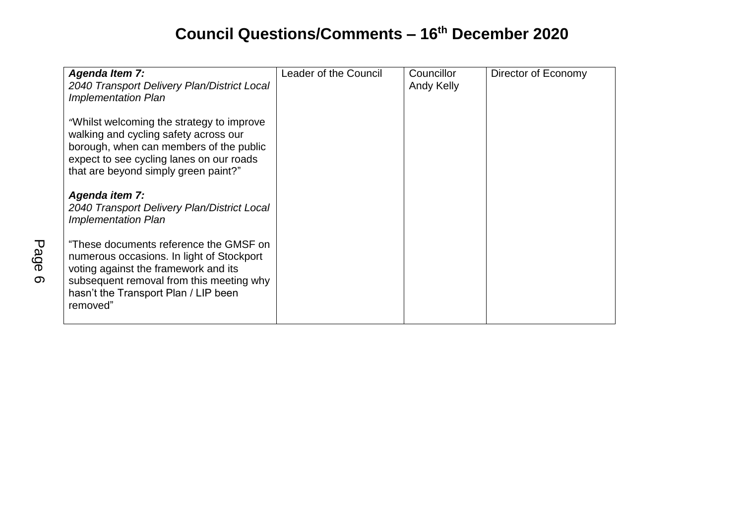# **Council Questions/Comments – 16 th December 2020**

| <b>Agenda Item 7:</b><br>2040 Transport Delivery Plan/District Local<br><b>Implementation Plan</b>                                                                                                                          | Leader of the Council | Councillor<br><b>Andy Kelly</b> | Director of Economy |
|-----------------------------------------------------------------------------------------------------------------------------------------------------------------------------------------------------------------------------|-----------------------|---------------------------------|---------------------|
| "Whilst welcoming the strategy to improve"<br>walking and cycling safety across our<br>borough, when can members of the public<br>expect to see cycling lanes on our roads<br>that are beyond simply green paint?"          |                       |                                 |                     |
| Agenda item 7:<br>2040 Transport Delivery Plan/District Local<br><b>Implementation Plan</b>                                                                                                                                 |                       |                                 |                     |
| "These documents reference the GMSF on<br>numerous occasions. In light of Stockport<br>voting against the framework and its<br>subsequent removal from this meeting why<br>hasn't the Transport Plan / LIP been<br>removed" |                       |                                 |                     |